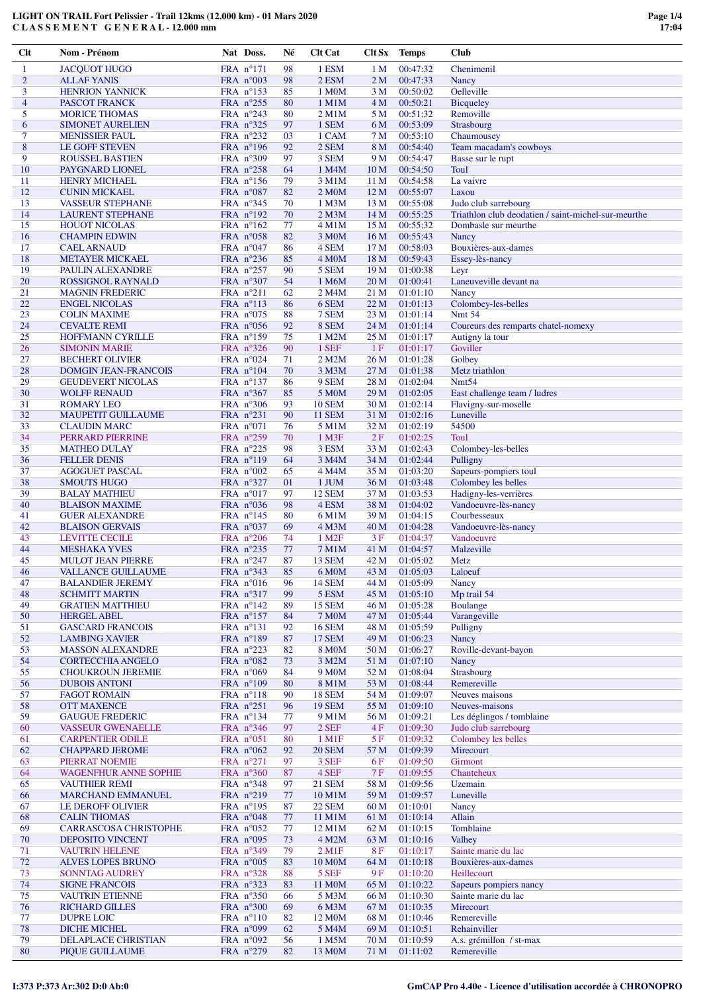| Clt            | Nom - Prénom                 | Nat Doss.          | Né     | <b>Clt Cat</b>         | Clt Sx          | Temps    | <b>Club</b>                                         |
|----------------|------------------------------|--------------------|--------|------------------------|-----------------|----------|-----------------------------------------------------|
| 1              | <b>JACQUOT HUGO</b>          | FRA n°171          | 98     | 1 ESM                  | 1 <sub>M</sub>  | 00:47:32 | Chenimenil                                          |
| $\overline{c}$ | <b>ALLAF YANIS</b>           | FRA $n^{\circ}003$ | 98     | 2 ESM                  | 2 M             | 00:47:33 | Nancy                                               |
| 3              | <b>HENRION YANNICK</b>       | FRA $n^{\circ}153$ | 85     | 1 M <sub>0</sub> M     | 3 M             | 00:50:02 | Oelleville                                          |
|                |                              |                    |        |                        |                 |          |                                                     |
| 4              | PASCOT FRANCK                | FRA $n^{\circ}255$ | 80     | $1$ M $1$ M            | 4 M             | 00:50:21 | <b>Bicqueley</b>                                    |
| 5              | <b>MORICE THOMAS</b>         | FRA $n^{\circ}243$ | 80     | $2$ M $1$ M            | 5 M             | 00:51:32 | Removille                                           |
| 6              | <b>SIMONET AURELIEN</b>      | FRA $n^{\circ}325$ | 97     | 1 SEM                  | 6 M             | 00:53:09 | <b>Strasbourg</b>                                   |
| 7              | <b>MENISSIER PAUL</b>        | FRA n°232          | 03     | 1 CAM                  | 7 M             | 00:53:10 | Chaumousey                                          |
| 8              | <b>LE GOFF STEVEN</b>        | FRA $n^{\circ}196$ | 92     | 2 SEM                  | 8 M             | 00:54:40 | Team macadam's cowboys                              |
| 9              | <b>ROUSSEL BASTIEN</b>       | FRA $n^{\circ}309$ | 97     | 3 SEM                  | 9 M             | 00:54:47 | Basse sur le rupt                                   |
| 10             | PAYGNARD LIONEL              | FRA $n^{\circ}258$ | 64     | 1 M4M                  | 10 <sub>M</sub> | 00:54:50 | Toul                                                |
| 11             | <b>HENRY MICHAEL</b>         | FRA $n^{\circ}156$ | 79     | 3 M1M                  | 11 M            | 00:54:58 | La vaivre                                           |
| 12             | <b>CUNIN MICKAEL</b>         | FRA $n^{\circ}087$ | 82     | 2 M <sub>0</sub> M     | 12 <sub>M</sub> | 00:55:07 | Laxou                                               |
| 13             | <b>VASSEUR STEPHANE</b>      | FRA $n^{\circ}345$ | 70     | 1 M3M                  | 13 M            | 00:55:08 | Judo club sarrebourg                                |
| 14             | <b>LAURENT STEPHANE</b>      | FRA $n^{\circ}192$ | 70     | 2 M <sub>3</sub> M     | 14 <sub>M</sub> | 00:55:25 | Triathlon club deodatien / saint-michel-sur-meurthe |
| 15             | <b>HOUOT NICOLAS</b>         | FRA $n^{\circ}162$ | 77     | 4 M1M                  | 15 M            | 00:55:32 | Dombasle sur meurthe                                |
| 16             | <b>CHAMPIN EDWIN</b>         | FRA $n^{\circ}058$ | 82     | 3 M <sub>0</sub> M     | 16 <sub>M</sub> | 00:55:43 | Nancy                                               |
| 17             | <b>CAEL ARNAUD</b>           | FRA $n^{\circ}047$ | 86     | 4 SEM                  | 17 <sub>M</sub> | 00:58:03 | Bouxières-aux-dames                                 |
| 18             | <b>METAYER MICKAEL</b>       | FRA $n^{\circ}236$ | 85     | 4 M <sub>0</sub> M     | 18 M            | 00:59:43 | Essey-lès-nancy                                     |
| 19             | PAULIN ALEXANDRE             | FRA $n^{\circ}257$ | 90     | 5 SEM                  | 19 <sub>M</sub> | 01:00:38 |                                                     |
| 20             | <b>ROSSIGNOL RAYNALD</b>     |                    |        |                        |                 |          | Leyr                                                |
|                |                              | FRA $n^{\circ}307$ | 54     | 1 M6M                  | 20 <sub>M</sub> | 01:00:41 | Laneuveville devant na                              |
| 21             | <b>MAGNIN FREDERIC</b>       | FRA n°211          | 62     | 2 M4M                  | 21 M            | 01:01:10 | Nancy                                               |
| 22             | <b>ENGEL NICOLAS</b>         | FRA $n^{\circ}113$ | 86     | 6 SEM                  | 22 M            | 01:01:13 | Colombey-les-belles                                 |
| 23             | <b>COLIN MAXIME</b>          | FRA $n^{\circ}075$ | 88     | 7 SEM                  | 23 M            | 01:01:14 | <b>Nmt 54</b>                                       |
| 24             | <b>CEVALTE REMI</b>          | FRA $n^{\circ}056$ | 92     | 8 SEM                  | 24 <sub>M</sub> | 01:01:14 | Coureurs des remparts chatel-nomexy                 |
| 25             | HOFFMANN CYRILLE             | FRA $n^{\circ}159$ | 75     | 1 M2M                  | 25 M            | 01:01:17 | Autigny la tour                                     |
| 26             | <b>SIMONIN MARIE</b>         | FRA $n^{\circ}326$ | 90     | 1 SEF                  | 1F              | 01:01:17 | Goviller                                            |
| 27             | <b>BECHERT OLIVIER</b>       | FRA $n^{\circ}024$ | 71     | 2 M2M                  | 26 M            | 01:01:28 | Golbey                                              |
| 28             | <b>DOMGIN JEAN-FRANCOIS</b>  | FRA $n^{\circ}104$ | 70     | 3 M3M                  | 27 M            | 01:01:38 | Metz triathlon                                      |
| 29             | <b>GEUDEVERT NICOLAS</b>     | FRA n°137          | 86     | 9 SEM                  | 28 M            | 01:02:04 | Nmt <sub>54</sub>                                   |
| 30             | <b>WOLFF RENAUD</b>          | FRA $n^{\circ}367$ | 85     | 5 M <sub>0</sub> M     | 29 M            | 01:02:05 | East challenge team / ludres                        |
| 31             | <b>ROMARY LEO</b>            | FRA $n^{\circ}306$ | 93     | <b>10 SEM</b>          | 30 M            | 01:02:14 | Flavigny-sur-moselle                                |
| 32             | <b>MAUPETIT GUILLAUME</b>    | FRA $n^{\circ}231$ | 90     | <b>11 SEM</b>          | 31 M            | 01:02:16 | Luneville                                           |
| 33             | <b>CLAUDIN MARC</b>          | FRA $n^{\circ}071$ | 76     | 5 M1M                  | 32 M            | 01:02:19 | 54500                                               |
| 34             | PERRARD PIERRINE             | FRA $n^{\circ}259$ | 70     | 1 M3F                  | 2F              | 01:02:25 | Toul                                                |
| 35             | <b>MATHEO DULAY</b>          | FRA $n^{\circ}225$ | 98     | 3 ESM                  | 33 M            | 01:02:43 | Colombey-les-belles                                 |
| 36             |                              |                    |        |                        |                 |          |                                                     |
|                | <b>FELLER DENIS</b>          | FRA $n^{\circ}119$ | 64     | 3 M4M                  | 34 M            | 01:02:44 | Pulligny                                            |
| 37             | <b>AGOGUET PASCAL</b>        | FRA $n^{\circ}002$ | 65     | 4 M4M                  | 35 M            | 01:03:20 | Sapeurs-pompiers toul                               |
| 38             | <b>SMOUTS HUGO</b>           | FRA $n^{\circ}327$ | 01     | 1 JUM                  | 36 M            | 01:03:48 | Colombey les belles                                 |
| 39             | <b>BALAY MATHIEU</b>         | FRA $n^{\circ}017$ | 97     | <b>12 SEM</b>          | 37 M            | 01:03:53 | Hadigny-les-verrières                               |
| 40             | <b>BLAISON MAXIME</b>        | FRA $n^{\circ}036$ | 98     | 4 ESM                  | 38 M            | 01:04:02 | Vandoeuvre-lès-nancy                                |
| 41             | <b>GUER ALEXANDRE</b>        | FRA $n^{\circ}145$ | 80     | 6 M1M                  | 39 M            | 01:04:15 | Courbesseaux                                        |
| 42             | <b>BLAISON GERVAIS</b>       | FRA $n^{\circ}037$ | 69     | 4 M3M                  | 40 M            | 01:04:28 | Vandoeuvre-lès-nancy                                |
| 43             | <b>LEVITTE CECILE</b>        | FRA $n^{\circ}206$ | 74     | 1 M <sub>2</sub> F     | 3F              | 01:04:37 | Vandoeuvre                                          |
| 44             | <b>MESHAKA YVES</b>          | FRA $n^{\circ}235$ | $77\,$ | 7 M1M                  | 41 M            | 01:04:57 | Malzeville                                          |
| 45             | <b>MULOT JEAN PIERRE</b>     | FRA $n^{\circ}247$ | 87     | 13 SEM                 | 42M             | 01:05:02 | Metz                                                |
| 46             | <b>VALLANCE GUILLAUME</b>    | FRA $n^{\circ}343$ | 85     | 6 M <sub>0</sub> M     | 43 M            | 01:05:03 | Laloeuf                                             |
| 47             | <b>BALANDIER JEREMY</b>      | FRA $n^{\circ}016$ | 96     | <b>14 SEM</b>          | 44 M            | 01:05:09 | Nancy                                               |
| 48             | <b>SCHMITT MARTIN</b>        | FRA n°317          | 99     | 5 ESM                  | 45 M            | 01:05:10 | Mp trail 54                                         |
| 49             | <b>GRATIEN MATTHIEU</b>      | FRA $n^{\circ}142$ | 89     | <b>15 SEM</b>          | 46 M            | 01:05:28 | <b>Boulange</b>                                     |
| 50             | <b>HERGEL ABEL</b>           | FRA $n^{\circ}157$ | 84     | <b>7 MOM</b>           | 47 M            | 01:05:44 | Varangeville                                        |
| 51             | <b>GASCARD FRANCOIS</b>      | FRA n°131          | 92     | <b>16 SEM</b>          | 48 M            | 01:05:59 | Pulligny                                            |
| 52             | <b>LAMBING XAVIER</b>        | FRA n°189          | 87     | <b>17 SEM</b>          | 49 M            | 01:06:23 | Nancy                                               |
| 53             | <b>MASSON ALEXANDRE</b>      | FRA n°223          | 82     | <b>8 M0M</b>           | 50 M            | 01:06:27 | Roville-devant-bayon                                |
| 54             | <b>CORTECCHIA ANGELO</b>     | FRA $n^{\circ}082$ | 73     | 3 M2M                  | 51 M            | 01:07:10 | Nancy                                               |
| 55             | <b>CHOUKROUN JEREMIE</b>     | FRA $n^{\circ}069$ | 84     | 9 M <sub>0</sub> M     | 52 M            | 01:08:04 | Strasbourg                                          |
| 56             | <b>DUBOIS ANTONI</b>         | FRA $n^{\circ}109$ | 80     | 8 M1M                  | 53 M            | 01:08:44 | Remereville                                         |
| 57             | <b>FAGOT ROMAIN</b>          | FRA $n^{\circ}118$ | 90     | <b>18 SEM</b>          | 54 M            | 01:09:07 | Neuves maisons                                      |
| 58             | <b>OTT MAXENCE</b>           | FRA n°251          | 96     | <b>19 SEM</b>          | 55 M            | 01:09:10 | Neuves-maisons                                      |
|                |                              |                    |        |                        |                 |          |                                                     |
| 59             | <b>GAUGUE FREDERIC</b>       | FRA nº134          | 77     | 9 M1M                  | 56 M            | 01:09:21 | Les déglingos / tomblaine                           |
| 60             | <b>VASSEUR GWENAELLE</b>     | FRA n°346          | 97     | 2 SEF                  | 4F              | 01:09:30 | Judo club sarrebourg                                |
| 61             | <b>CARPENTIER ODILE</b>      | FRA $n^{\circ}051$ | 80     | $1$ M $1$ F            | 5F              | 01:09:32 | Colombey les belles                                 |
| 62             | <b>CHAPPARD JEROME</b>       | FRA $n^{\circ}062$ | 92     | <b>20 SEM</b>          | 57 M            | 01:09:39 | Mirecourt                                           |
| 63             | PIERRAT NOEMIE               | FRA n°271          | 97     | 3 SEF                  | 6 F             | 01:09:50 | Girmont                                             |
| 64             | <b>WAGENFHUR ANNE SOPHIE</b> | FRA $n^{\circ}360$ | 87     | 4 SEF                  | 7 F             | 01:09:55 | Chanteheux                                          |
| 65             | <b>VAUTHIER REMI</b>         | FRA n°348          | 97     | <b>21 SEM</b>          | 58 M            | 01:09:56 | Uzemain                                             |
| 66             | <b>MARCHAND EMMANUEL</b>     | FRA n°219          | 77     | 10 M1M                 | 59 M            | 01:09:57 | Luneville                                           |
| 67             | LE DEROFF OLIVIER            | FRA $n^{\circ}195$ | 87     | <b>22 SEM</b>          | 60 M            | 01:10:01 | Nancy                                               |
| 68             | <b>CALIN THOMAS</b>          | FRA $n^{\circ}048$ | 77     | 11 M1M                 | 61 M            | 01:10:14 | Allain                                              |
| 69             | CARRASCOSA CHRISTOPHE        | FRA $n^{\circ}052$ | 77     | 12 M1M                 | 62 M            | 01:10:15 | Tomblaine                                           |
| 70             | <b>DEPOSITO VINCENT</b>      | FRA n°095          | 73     | 4 M2M                  | 63 M            | 01:10:16 | Valhey                                              |
| 71             | <b>VAUTRIN HELENE</b>        | FRA $n^{\circ}349$ | 79     | $2$ M <sub>1</sub> $F$ | 8F              | 01:10:17 | Sainte marie du lac                                 |
| 72             | ALVES LOPES BRUNO            | FRA $n^{\circ}005$ | 83     | 10 M <sub>O</sub> M    | 64 M            | 01:10:18 | Bouxières-aux-dames                                 |
| 73             | <b>SONNTAG AUDREY</b>        | FRA n°328          | 88     | 5 SEF                  | 9F              | 01:10:20 | Heillecourt                                         |
| 74             | <b>SIGNE FRANCOIS</b>        | FRA $n^{\circ}323$ | 83     | 11 M0M                 | 65 M            | 01:10:22 | Sapeurs pompiers nancy                              |
| 75             | <b>VAUTRIN ETIENNE</b>       | FRA n°350          | 66     | 5 M3M                  | 66 M            | 01:10:30 | Sainte marie du lac                                 |
| 76             | <b>RICHARD GILLES</b>        | FRA $n^{\circ}300$ | 69     | 6 M3M                  | 67 M            | 01:10:35 | Mirecourt                                           |
| 77             | <b>DUPRE LOIC</b>            | FRA $n^{\circ}110$ | 82     | 12 M <sub>0</sub> M    | 68 M            | 01:10:46 | Remereville                                         |
| 78             | <b>DICHE MICHEL</b>          | FRA $n^{\circ}099$ | 62     | 5 M4M                  | 69 M            | 01:10:51 | Rehainviller                                        |
| 79             |                              |                    |        |                        |                 |          |                                                     |
|                | DELAPLACE CHRISTIAN          | FRA $n°092$        | 56     | 1 M5M                  | 70 M            | 01:10:59 | A.s. grémillon / st-max                             |
| 80             | PIQUE GUILLAUME              | FRA n°279          | 82     | 13 M <sub>0</sub> M    | 71 M            | 01:11:02 | Remereville                                         |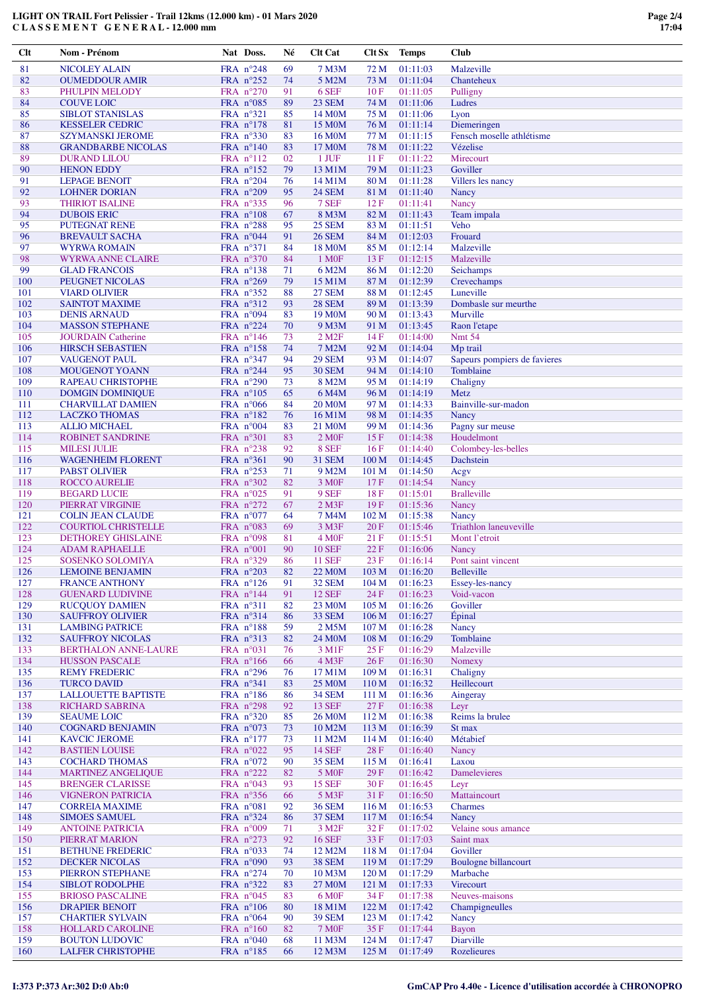| $Cl$ t | Nom - Prénom                | Nat Doss.          | Né | <b>Clt Cat</b>         | Clt Sx           | Temps    | <b>Club</b>                  |
|--------|-----------------------------|--------------------|----|------------------------|------------------|----------|------------------------------|
| 81     | <b>NICOLEY ALAIN</b>        | FRA $n^{\circ}248$ | 69 | 7 M3M                  | 72 M             | 01:11:03 | Malzeville                   |
| 82     | <b>OUMEDDOUR AMIR</b>       | FRA $n^{\circ}252$ | 74 | 5 M2M                  | 73 M             | 01:11:04 | Chanteheux                   |
| 83     | PHULPIN MELODY              | FRA $n^{\circ}270$ | 91 | 6 SEF                  | 10F              | 01:11:05 | Pulligny                     |
| 84     | <b>COUVE LOIC</b>           | FRA $n^{\circ}085$ | 89 | 23 SEM                 | 74 M             | 01:11:06 | Ludres                       |
| 85     |                             | FRA n°321          |    |                        |                  |          |                              |
|        | <b>SIBLOT STANISLAS</b>     |                    | 85 | 14 M <sub>0</sub> M    | 75 M             | 01:11:06 | Lyon                         |
| 86     | <b>KESSELER CEDRIC</b>      | FRA $n^{\circ}178$ | 81 | 15 M <sub>0</sub> M    | 76 M             | 01:11:14 | Diemeringen                  |
| 87     | <b>SZYMANSKI JEROME</b>     | FRA $n^{\circ}330$ | 83 | 16 M <sub>0</sub> M    | 77 M             | 01:11:15 | Fensch moselle athlétisme    |
| 88     | <b>GRANDBARBE NICOLAS</b>   | FRA $n^{\circ}140$ | 83 | 17 M <sub>0</sub> M    | 78 M             | 01:11:22 | Vézelise                     |
| 89     | <b>DURAND LILOU</b>         | FRA $n^{\circ}112$ | 02 | 1 JUF                  | 11F              | 01:11:22 | Mirecourt                    |
| 90     | <b>HENON EDDY</b>           | FRA n°152          | 79 | 13 M1M                 | 79 M             | 01:11:23 | Goviller                     |
| 91     | <b>LEPAGE BENOIT</b>        | FRA $n^{\circ}204$ | 76 | 14 M1M                 | 80 M             | 01:11:28 | Villers les nancy            |
| 92     | <b>LOHNER DORIAN</b>        | FRA n°209          | 95 | <b>24 SEM</b>          | 81 M             | 01:11:40 | Nancy                        |
| 93     | <b>THIRIOT ISALINE</b>      | FRA $n^{\circ}335$ | 96 | 7 SEF                  | 12 F             | 01:11:41 | Nancy                        |
| 94     | <b>DUBOIS ERIC</b>          | FRA $n^{\circ}108$ | 67 | 8 M3M                  | 82 M             | 01:11:43 | Team impala                  |
| 95     | PUTEGNAT RENE               | FRA $n^{\circ}288$ | 95 | <b>25 SEM</b>          | 83 M             | 01:11:51 | Veho                         |
| 96     | <b>BREVAULT SACHA</b>       | FRA $n^{\circ}044$ | 91 | <b>26 SEM</b>          | 84 M             | 01:12:03 | Frouard                      |
| 97     | <b>WYRWA ROMAIN</b>         | FRA $n^{\circ}371$ | 84 | 18 M <sub>O</sub> M    | 85 M             | 01:12:14 | Malzeville                   |
| 98     | WYRWA ANNE CLAIRE           | FRA n°370          | 84 | 1 M <sub>OF</sub>      | 13F              | 01:12:15 | Malzeville                   |
| 99     |                             |                    |    |                        |                  |          |                              |
|        | <b>GLAD FRANCOIS</b>        | FRA $n^{\circ}138$ | 71 | 6 M2M                  | 86 M             | 01:12:20 | Seichamps                    |
| 100    | PEUGNET NICOLAS             | FRA $n^{\circ}269$ | 79 | 15 M1M                 | 87 M             | 01:12:39 | Crevechamps                  |
| 101    | <b>VIARD OLIVIER</b>        | FRA $n^{\circ}352$ | 88 | <b>27 SEM</b>          | 88 M             | 01:12:45 | Luneville                    |
| 102    | <b>SAINTOT MAXIME</b>       | FRA $n^{\circ}312$ | 93 | <b>28 SEM</b>          | 89 M             | 01:13:39 | Dombasle sur meurthe         |
| 103    | <b>DENIS ARNAUD</b>         | FRA n°094          | 83 | 19 M <sub>O</sub> M    | 90 M             | 01:13:43 | Murville                     |
| 104    | <b>MASSON STEPHANE</b>      | FRA n°224          | 70 | 9 M3M                  | 91 M             | 01:13:45 | Raon l'etape                 |
| 105    | <b>JOURDAIN Catherine</b>   | FRA $n^{\circ}146$ | 73 | $2$ M <sub>2</sub> $F$ | 14F              | 01:14:00 | <b>Nmt 54</b>                |
| 106    | <b>HIRSCH SEBASTIEN</b>     | FRA $n^{\circ}158$ | 74 | 7 M2M                  | 92 M             | 01:14:04 | Mp trail                     |
| 107    | <b>VAUGENOT PAUL</b>        | FRA $n^{\circ}347$ | 94 | <b>29 SEM</b>          | 93 M             | 01:14:07 | Sapeurs pompiers de favieres |
| 108    | <b>MOUGENOT YOANN</b>       | FRA n°244          | 95 | <b>30 SEM</b>          | 94 M             | 01:14:10 | Tomblaine                    |
| 109    | <b>RAPEAU CHRISTOPHE</b>    | FRA n°290          | 73 | 8 M2M                  | 95 M             | 01:14:19 | Chaligny                     |
| 110    | <b>DOMGIN DOMINIQUE</b>     | FRA $n^{\circ}105$ | 65 | 6 M4M                  | 96 M             | 01:14:19 | Metz                         |
| 111    | <b>CHARVILLAT DAMIEN</b>    | FRA $n^{\circ}066$ | 84 | <b>20 M0M</b>          | 97 M             | 01:14:33 | Bainville-sur-madon          |
| 112    | <b>LACZKO THOMAS</b>        | FRA $n^{\circ}182$ | 76 | 16 M1M                 | 98 M             | 01:14:35 | Nancy                        |
| 113    |                             |                    | 83 |                        |                  |          |                              |
|        | <b>ALLIO MICHAEL</b>        | FRA $n^{\circ}004$ |    | 21 M <sub>0</sub> M    | 99 M             | 01:14:36 | Pagny sur meuse              |
| 114    | <b>ROBINET SANDRINE</b>     | FRA n°301          | 83 | 2 M <sub>OF</sub>      | 15F              | 01:14:38 | Houdelmont                   |
| 115    | <b>MILESI JULIE</b>         | FRA $n^{\circ}238$ | 92 | 8 SEF                  | 16F              | 01:14:40 | Colombey-les-belles          |
| 116    | <b>WAGENHEIM FLORENT</b>    | FRA n°361          | 90 | <b>31 SEM</b>          | 100 <sub>M</sub> | 01:14:45 | Dachstein                    |
| 117    | <b>PABST OLIVIER</b>        | FRA $n^{\circ}253$ | 71 | 9 M2M                  | 101 <sub>M</sub> | 01:14:50 | Acgy                         |
| 118    | <b>ROCCO AURELIE</b>        | FRA $n^{\circ}302$ | 82 | 3 M <sub>OF</sub>      | 17F              | 01:14:54 | Nancy                        |
| 119    | <b>BEGARD LUCIE</b>         | FRA $n^{\circ}025$ | 91 | 9 SEF                  | 18F              | 01:15:01 | <b>Bralleville</b>           |
| 120    | PIERRAT VIRGINIE            | FRA $n^{\circ}272$ | 67 | $2$ M $3F$             | 19F              | 01:15:36 | Nancy                        |
| 121    | <b>COLIN JEAN CLAUDE</b>    | FRA $n^{\circ}077$ | 64 | 7 M4M                  | 102 <sub>M</sub> | 01:15:38 | Nancy                        |
| 122    | <b>COURTIOL CHRISTELLE</b>  | FRA n°083          | 69 | 3 M3F                  | 20F              | 01:15:46 | Triathlon laneuveville       |
| 123    | DETHOREY GHISLAINE          | FRA $n°098$        | 81 | 4 M <sub>OF</sub>      | 21F              | 01:15:51 | Mont l'etroit                |
| 124    | <b>ADAM RAPHAELLE</b>       | FRA n°001          | 90 | <b>10 SEF</b>          | 22F              | 01:16:06 | Nancy                        |
| 125    | SOSENKO SOLOMIYA            | FRA $n^{\circ}329$ | 86 | <b>11 SEF</b>          | 23F              | 01:16:14 | Pont saint vincent           |
| 126    | <b>LEMOINE BENJAMIN</b>     | FRA $n^{\circ}203$ | 82 | <b>22 MOM</b>          | 103 M            | 01:16:20 | <b>Belleville</b>            |
| 127    | <b>FRANCE ANTHONY</b>       | FRA $n^{\circ}126$ | 91 | <b>32 SEM</b>          | 104 <sub>M</sub> | 01:16:23 | Essey-les-nancy              |
| 128    | <b>GUENARD LUDIVINE</b>     | FRA $n^{\circ}144$ | 91 | <b>12 SEF</b>          | 24F              | 01:16:23 | Void-vacon                   |
| 129    | <b>RUCOUOY DAMIEN</b>       | FRA n°311          | 82 | 23 M <sub>0</sub> M    | 105 <sub>M</sub> | 01:16:26 | Goviller                     |
| 130    | <b>SAUFFROY OLIVIER</b>     | FRA $n^{\circ}314$ | 86 | 33 SEM                 | 106 <sub>M</sub> | 01:16:27 | <b>Épinal</b>                |
| 131    | <b>LAMBING PATRICE</b>      | FRA n°188          | 59 | 2 M5M                  | 107 <sub>M</sub> | 01:16:28 | <b>Nancy</b>                 |
| 132    | <b>SAUFFROY NICOLAS</b>     | FRA n°313          |    | 24 M <sub>0</sub> M    | 108 M            | 01:16:29 | Tomblaine                    |
|        |                             |                    | 82 |                        |                  |          |                              |
| 133    | <b>BERTHALON ANNE-LAURE</b> | FRA $n^{\circ}031$ | 76 | 3 M1F                  | 25 F             | 01:16:29 | Malzeville                   |
| 134    | <b>HUSSON PASCALE</b>       | FRA $n^{\circ}166$ | 66 | $4$ M3F                | 26F              | 01:16:30 | Nomexy                       |
| 135    | <b>REMY FREDERIC</b>        | FRA $n^{\circ}296$ | 76 | 17 M1M                 | 109 M            | 01:16:31 | Chaligny                     |
| 136    | <b>TURCO DAVID</b>          | FRA n°341          | 83 | <b>25 MOM</b>          | 110 <sub>M</sub> | 01:16:32 | Heillecourt                  |
| 137    | <b>LALLOUETTE BAPTISTE</b>  | FRA n°186          | 86 | <b>34 SEM</b>          | 111 M            | 01:16:36 | Aingeray                     |
| 138    | RICHARD SABRINA             | FRA n°298          | 92 | <b>13 SEF</b>          | 27 F             | 01:16:38 | Leyr                         |
| 139    | <b>SEAUME LOIC</b>          | FRA $n^{\circ}320$ | 85 | 26 M <sub>0</sub> M    | 112M             | 01:16:38 | Reims la brulee              |
| 140    | <b>COGNARD BENJAMIN</b>     | FRA $n^{\circ}073$ | 73 | 10 M2M                 | 113 M            | 01:16:39 | St max                       |
| 141    | <b>KAVCIC JEROME</b>        | FRA n°177          | 73 | 11 M2M                 | 114M             | 01:16:40 | Métabief                     |
| 142    | <b>BASTIEN LOUISE</b>       | FRA n°022          | 95 | <b>14 SEF</b>          | 28F              | 01:16:40 | Nancy                        |
| 143    | <b>COCHARD THOMAS</b>       | FRA n°072          | 90 | <b>35 SEM</b>          | 115 M            | 01:16:41 | Laxou                        |
| 144    | <b>MARTINEZ ANGELIQUE</b>   | FRA n°222          | 82 | 5 M <sub>OF</sub>      | 29F              | 01:16:42 | <b>Damelevieres</b>          |
| 145    | <b>BRENGER CLARISSE</b>     | FRA n°043          | 93 | <b>15 SEF</b>          | $30 F$           | 01:16:45 | Leyr                         |
| 146    | <b>VIGNERON PATRICIA</b>    | FRA n°356          | 66 | 5 M3F                  | 31F              | 01:16:50 | Mattaincourt                 |
| 147    | <b>CORREIA MAXIME</b>       | FRA n°081          | 92 | <b>36 SEM</b>          | 116 <sub>M</sub> | 01:16:53 | Charmes                      |
| 148    | <b>SIMOES SAMUEL</b>        | FRA n°324          | 86 | <b>37 SEM</b>          | 117 <sub>M</sub> | 01:16:54 | Nancy                        |
| 149    | <b>ANTOINE PATRICIA</b>     | FRA $n°009$        | 71 | 3 M <sub>2F</sub>      | 32 F             | 01:17:02 | Velaine sous amance          |
| 150    | PIERRAT MARION              | FRA n°273          | 92 | <b>16 SEF</b>          | 33 F             | 01:17:03 | Saint max                    |
| 151    | <b>BETHUNE FREDERIC</b>     | FRA $n^{\circ}033$ | 74 | 12 M2M                 | 118 <sub>M</sub> | 01:17:04 | Goviller                     |
|        |                             |                    |    |                        |                  |          |                              |
| 152    | DECKER NICOLAS              | FRA $n^{\circ}090$ | 93 | <b>38 SEM</b>          | 119 <sub>M</sub> | 01:17:29 | Boulogne billancourt         |
| 153    | PIERRON STEPHANE            | FRA n°274          | 70 | 10 M3M                 | 120 <sub>M</sub> | 01:17:29 | Marbache                     |
| 154    | <b>SIBLOT RODOLPHE</b>      | FRA n°322          | 83 | 27 M <sub>0</sub> M    | 121 <sub>M</sub> | 01:17:33 | Virecourt                    |
| 155    | <b>BRIOSO PASCALINE</b>     | FRA $n^{\circ}045$ | 83 | 6 M <sub>OF</sub>      | 34 F             | 01:17:38 | Neuves-maisons               |
| 156    | <b>DRAPIER BENOIT</b>       | FRA $n^{\circ}106$ | 80 | 18 M1M                 | 122M             | 01:17:42 | Champigneulles               |
| 157    | <b>CHARTIER SYLVAIN</b>     | FRA $n^{\circ}064$ | 90 | <b>39 SEM</b>          | 123 M            | 01:17:42 | Nancy                        |
| 158    | <b>HOLLARD CAROLINE</b>     | FRA $n^{\circ}160$ | 82 | <b>7 MOF</b>           | 35F              | 01:17:44 | <b>Bayon</b>                 |
| 159    | <b>BOUTON LUDOVIC</b>       | FRA $n^{\circ}040$ | 68 | 11 M3M                 | 124M             | 01:17:47 | Diarville                    |
| 160    | <b>LALFER CHRISTOPHE</b>    | FRA n°185          | 66 | 12 M3M                 | 125 M            | 01:17:49 | Rozelieures                  |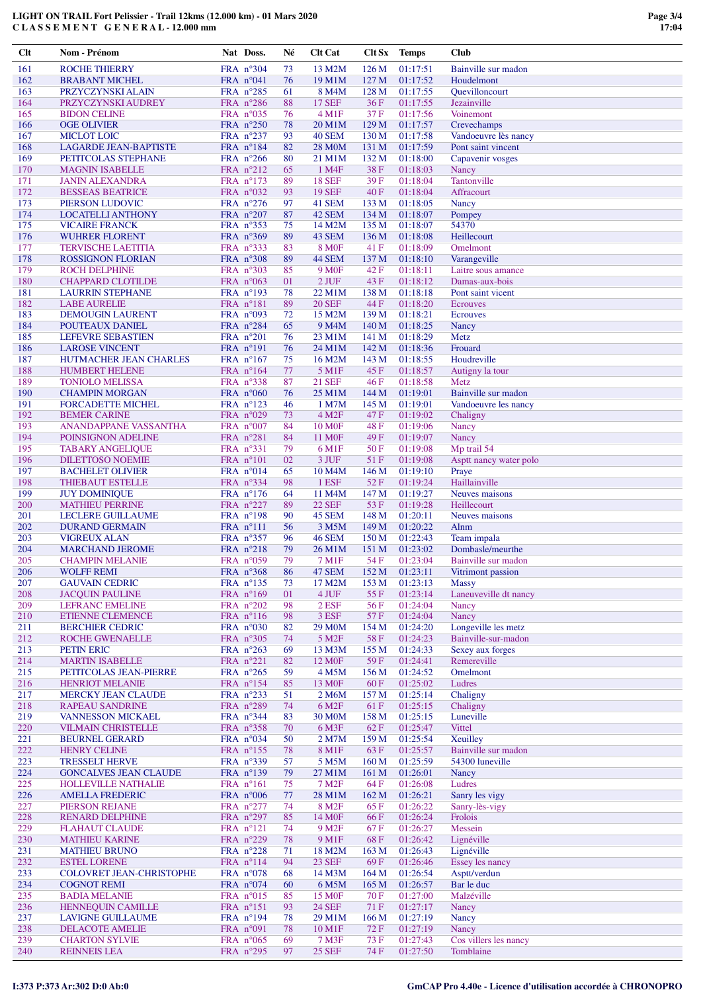| Clt        | Nom - Prénom                                      | Nat Doss.                                  | Né       | <b>Clt Cat</b>          | Clt Sx                    | <b>Temps</b>         | <b>Club</b>                   |
|------------|---------------------------------------------------|--------------------------------------------|----------|-------------------------|---------------------------|----------------------|-------------------------------|
| 161        | <b>ROCHE THIERRY</b>                              | FRA n°304                                  | 73       | 13 M2M                  | 126 <sub>M</sub>          | 01:17:51             | Bainville sur madon           |
| 162        | <b>BRABANT MICHEL</b>                             | FRA $n^{\circ}041$                         | 76       | 19 M1M                  | 127 M                     | 01:17:52             | Houdelmont                    |
| 163        | PRZYCZYNSKI ALAIN                                 | FRA $n^{\circ}285$                         | 61       | 8 M4M                   | 128 M                     | 01:17:55             | <b>Ouevilloncourt</b>         |
| 164        | PRZYCZYNSKI AUDREY                                | FRA $n^{\circ}286$                         | 88       | <b>17 SEF</b>           | 36F                       | 01:17:55             | Jezainville                   |
| 165        | <b>BIDON CELINE</b>                               | FRA $n^{\circ}035$                         | 76       | $4 \,\mathrm{M1F}$      | 37F                       | 01:17:56             | Voinemont                     |
| 166        | <b>OGE OLIVIER</b>                                | FRA $n^{\circ}250$                         | 78       | 20 M1M                  | 129 M                     | 01:17:57             | Crevechamps                   |
| 167        | <b>MICLOT LOIC</b>                                | FRA n°237                                  | 93       | 40 SEM                  | 130 <sub>M</sub>          | 01:17:58             | Vandoeuvre lès nancy          |
| 168        | <b>LAGARDE JEAN-BAPTISTE</b>                      | FRA n°184                                  | 82       | <b>28 MOM</b>           | 131 M                     | 01:17:59             | Pont saint vincent            |
| 169        | PETITCOLAS STEPHANE                               | FRA n°266                                  | 80       | 21 M1M                  | 132M                      | 01:18:00             | Capavenir vosges              |
| 170        | <b>MAGNIN ISABELLE</b>                            | FRA $n^{\circ}212$                         | 65       | 1 M4F                   | 38F                       | 01:18:03             | Nancy                         |
| 171        | <b>JANIN ALEXANDRA</b>                            | FRA $n^{\circ}173$                         | 89       | <b>18 SEF</b>           | 39F                       | 01:18:04             | Tantonville                   |
| 172        | <b>BESSEAS BEATRICE</b>                           | FRA $n^{\circ}032$                         | 93       | <b>19 SEF</b>           | 40F                       | 01:18:04             | Affracourt                    |
| 173<br>174 | PIERSON LUDOVIC                                   | FRA $n^{\circ}276$                         | 97       | 41 SEM                  | 133 M<br>134 M            | 01:18:05             | Nancy                         |
| 175        | <b>LOCATELLI ANTHONY</b>                          | FRA $n^{\circ}207$<br>FRA nº353            | 87       | 42 SEM<br>14 M2M        | 135 M                     | 01:18:07             | Pompey<br>54370               |
| 176        | <b>VICAIRE FRANCK</b><br><b>WUHRER FLORENT</b>    | FRA $n^{\circ}369$                         | 75<br>89 | 43 SEM                  | 136 <sub>M</sub>          | 01:18:07<br>01:18:08 | Heillecourt                   |
| 177        | <b>TERVISCHE LAETITIA</b>                         | FRA $n^{\circ}333$                         | 83       | <b>8 MOF</b>            | 41 F                      | 01:18:09             | Omelmont                      |
| 178        | <b>ROSSIGNON FLORIAN</b>                          | FRA n°308                                  | 89       | 44 SEM                  | 137 <sub>M</sub>          | 01:18:10             | Varangeville                  |
| 179        | <b>ROCH DELPHINE</b>                              | FRA $n^{\circ}303$                         | 85       | 9 M <sub>OF</sub>       | 42 F                      | 01:18:11             | Laitre sous amance            |
| 180        | <b>CHAPPARD CLOTILDE</b>                          | FRA $n^{\circ}063$                         | 01       | $2$ JUF                 | 43 F                      | 01:18:12             | Damas-aux-bois                |
| 181        | <b>LAURRIN STEPHANE</b>                           | FRA $n^{\circ}193$                         | 78       | 22 M1M                  | 138 M                     | 01:18:18             | Pont saint vicent             |
| 182        | <b>LABE AURELIE</b>                               | FRA $n^{\circ}181$                         | 89       | <b>20 SEF</b>           | 44 F                      | 01:18:20             | <b>Ecrouves</b>               |
| 183        | <b>DEMOUGIN LAURENT</b>                           | FRA $n^{\circ}093$                         | 72       | 15 M2M                  | 139 <sub>M</sub>          | 01:18:21             | <b>Ecrouves</b>               |
| 184        | POUTEAUX DANIEL                                   | FRA $n^{\circ}284$                         | 65       | 9 M <sub>4</sub> M      | 140 <sub>M</sub>          | 01:18:25             | Nancy                         |
| 185        | LEFEVRE SEBASTIEN                                 | FRA n°201                                  | 76       | 23 M1M                  | 141 M                     | 01:18:29             | Metz                          |
| 186        | <b>LAROSE VINCENT</b>                             | FRA $n^{\circ}191$                         | 76       | 24 M1M                  | 142 M                     | 01:18:36             | Frouard                       |
| 187        | HUTMACHER JEAN CHARLES                            | FRA n°167                                  | 75       | 16 M2M                  | 143 M                     | 01:18:55             | Houdreville                   |
| 188        | <b>HUMBERT HELENE</b>                             | FRA $n^{\circ}164$                         | 77       | 5 M1F                   | 45F                       | 01:18:57             | Autigny la tour               |
| 189        | <b>TONIOLO MELISSA</b>                            | FRA $n^{\circ}338$                         | 87       | <b>21 SEF</b>           | 46F                       | 01:18:58             | Metz                          |
| 190        | <b>CHAMPIN MORGAN</b>                             | FRA $n^{\circ}060$                         | 76       | 25 M1M                  | 144 M                     | 01:19:01             | Bainville sur madon           |
| 191        | <b>FORCADETTE MICHEL</b>                          | FRA $n^{\circ}123$                         | 46       | 1 M7M                   | 145 M                     | 01:19:01             | Vandoeuvre les nancy          |
| 192        | <b>BEMER CARINE</b>                               | FRA $n^{\circ}029$                         | 73       | 4 M <sub>2F</sub>       | 47 F                      | 01:19:02             | Chaligny                      |
| 193        | ANANDAPPANE VASSANTHA                             | FRA $n^{\circ}007$                         | 84       | <b>10 MOF</b>           | 48 F                      | 01:19:06             | Nancy                         |
| 194        | POINSIGNON ADELINE                                | FRA $n^{\circ}281$                         | 84       | 11 M <sub>OF</sub>      | 49F                       | 01:19:07             | Nancy                         |
| 195        | <b>TABARY ANGELIQUE</b>                           | FRA $n^{\circ}331$                         | 79       | 6 M1F                   | 50F                       | 01:19:08             | Mp trail 54                   |
| 196        | <b>DILETTOSO NOEMIE</b>                           | FRA $n^{\circ}101$                         | 02       | 3 JUF                   | 51 F                      | 01:19:08             | Asptt nancy water polo        |
| 197        | <b>BACHELET OLIVIER</b>                           | FRA $n^{\circ}014$                         | 65       | 10 M <sub>4</sub> M     | 146 M                     | 01:19:10             | Praye                         |
| 198        | <b>THIEBAUT ESTELLE</b>                           | FRA $n^{\circ}334$                         | 98       | 1 ESF                   | 52F                       | 01:19:24             | Haillainville                 |
| 199        | <b>JUY DOMINIQUE</b>                              | FRA $n^{\circ}176$                         | 64       | 11 M4M                  | 147 M                     | 01:19:27             | Neuves maisons                |
| 200<br>201 | <b>MATHIEU PERRINE</b>                            | FRA $n^{\circ}227$                         | 89<br>90 | <b>22 SEF</b><br>45 SEM | 53 F<br>148 M             | 01:19:28             | Heillecourt                   |
|            | <b>LECLERE GUILLAUME</b><br><b>DURAND GERMAIN</b> | FRA $n^{\circ}198$                         | 56       | 3 M5M                   |                           | 01:20:11             | Neuves maisons                |
| 202<br>203 | <b>VIGREUX ALAN</b>                               | $FRA$ $n^{\circ}111$<br>FRA $n^{\circ}357$ | 96       | <b>46 SEM</b>           | 149 M<br>150 <sub>M</sub> | 01:20:22<br>01:22:43 | Alnm<br>Team impala           |
| 204        | <b>MARCHAND JEROME</b>                            | FRA n°218                                  | 79       | 26 M1M                  | 151 M                     | 01:23:02             | Dombasle/meurthe              |
| 205        | <b>CHAMPIN MELANIE</b>                            | FRA $n^{\circ}059$                         | 79       | 7 M1F                   | 54 F                      | 01:23:04             | Bainville sur madon           |
| 206        | <b>WOLFF REMI</b>                                 | FRA $n^{\circ}368$                         | 86       | 47 SEM                  | 152 M                     | 01:23:11             | Vitrimont passion             |
| 207        | <b>GAUVAIN CEDRIC</b>                             | FRA $n^{\circ}$ 135                        | 73       | 17 M2M                  | 153 M                     | 01:23:13             | <b>Massy</b>                  |
| 208        | <b>JACQUIN PAULINE</b>                            | FRA n°169                                  | 01       | 4 JUF                   | 55 F                      | 01:23:14             | Laneuveville dt nancy         |
| 209        | <b>LEFRANC EMELINE</b>                            | FRA n°202                                  | 98       | 2 ESF                   | 56 F                      | 01:24:04             | Nancy                         |
| 210        | <b>ETIENNE CLEMENCE</b>                           | FRA $n^{\circ}116$                         | 98       | 3 ESF                   | 57F                       | 01:24:04             | Nancy                         |
| 211        | <b>BERCHIER CEDRIC</b>                            | FRA n°030                                  | 82       | 29 M <sub>0</sub> M     | 154 M                     | 01:24:20             | Longeville les metz           |
| 212        | ROCHE GWENAELLE                                   | FRA n°305                                  | 74       | 5 M <sub>2F</sub>       | 58F                       | 01:24:23             | Bainville-sur-madon           |
| 213        | PETIN ERIC                                        | FRA $n^{\circ}263$                         | 69       | 13 M3M                  | 155 M                     | 01:24:33             | Sexey aux forges              |
| 214        | <b>MARTIN ISABELLE</b>                            | FRA $n^{\circ}221$                         | 82       | 12 M <sub>OF</sub>      | 59 F                      | 01:24:41             | Remereville                   |
| 215        | PETITCOLAS JEAN-PIERRE                            | FRA $n^{\circ}265$                         | 59       | 4 M5M                   | 156M                      | 01:24:52             | Omelmont                      |
| 216        | <b>HENRIOT MELANIE</b>                            | FRA n°154                                  | 85       | 13 M <sub>OF</sub>      | 60F                       | 01:25:02             | Ludres                        |
| 217        | <b>MERCKY JEAN CLAUDE</b>                         | FRA $n^{\circ}233$                         | 51       | 2 M6M                   | 157 <sub>M</sub>          | 01:25:14             | Chaligny                      |
| 218        | <b>RAPEAU SANDRINE</b>                            | FRA n°289                                  | 74       | 6 M <sub>2F</sub>       | 61 F                      | 01:25:15             | Chaligny                      |
| 219        | <b>VANNESSON MICKAEL</b>                          | FRA $n^{\circ}344$                         | 83       | 30 M <sub>O</sub> M     | 158 M                     | 01:25:15             | Luneville                     |
| 220        | <b>VILMAIN CHRISTELLE</b>                         | FRA n°358                                  | 70       | 6 M3F                   | 62 F                      | 01:25:47             | Vittel                        |
| 221        | <b>BEURNEL GERARD</b>                             | FRA $n^{\circ}034$                         | 50       | 2 M7M                   | 159 <sub>M</sub>          | 01:25:54             | Xeuilley                      |
| 222        | <b>HENRY CELINE</b>                               | FRA n°155                                  | 78       | 8 M1F                   | 63 F                      | 01:25:57             | Bainville sur madon           |
| 223        | <b>TRESSELT HERVE</b>                             | FRA n°339                                  | 57       | 5 M5M                   | 160 <sub>M</sub>          | 01:25:59             | 54300 luneville               |
| 224        | <b>GONCALVES JEAN CLAUDE</b>                      | FRA $n^{\circ}139$                         | 79       | 27 M1M                  | 161 <sub>M</sub>          | 01:26:01             | Nancy                         |
| 225        | <b>HOLLEVILLE NATHALIE</b>                        | FRA $n^{\circ}161$                         | 75       | 7 M <sub>2</sub> F      | 64 F                      | 01:26:08             | Ludres                        |
| 226        | <b>AMELLA FREDERIC</b>                            | FRA $n^{\circ}006$                         | 77       | 28 M1M                  | 162 M                     | 01:26:21             | Sanry les vigy                |
| 227        | PIERSON REJANE                                    | FRA $n^{\circ}277$                         | 74       | 8 M <sub>2F</sub>       | 65 F                      | 01:26:22             | Sanry-lès-vigy                |
| 228        | <b>RENARD DELPHINE</b>                            | FRA $n^{\circ}297$                         | 85       | 14 M <sub>OF</sub>      | 66 F                      | 01:26:24             | Frolois                       |
| 229        | <b>FLAHAUT CLAUDE</b>                             | FRA $n^{\circ}121$                         | 74       | 9 M <sub>2F</sub>       | 67 F                      | 01:26:27             | Messein                       |
| 230        | <b>MATHIEU KARINE</b>                             | FRA n°229                                  | 78       | 9 M1F                   | 68F                       | 01:26:42             | Lignéville                    |
| 231<br>232 | <b>MATHIEU BRUNO</b><br><b>ESTEL LORENE</b>       | FRA $n^{\circ}228$<br>FRA n°114            | 71<br>94 | 18 M2M<br><b>23 SEF</b> | 163 M<br>69F              | 01:26:43<br>01:26:46 | Lignéville<br>Essey les nancy |
| 233        | <b>COLOVRET JEAN-CHRISTOPHE</b>                   | FRA $n^{\circ}078$                         | 68       | 14 M3M                  | 164M                      | 01:26:54             | Asptt/verdun                  |
| 234        | <b>COGNOT REMI</b>                                | FRA $n^{\circ}074$                         | 60       | 6 M5M                   | 165 <sub>M</sub>          | 01:26:57             | Bar le duc                    |
| 235        | <b>BADIA MELANIE</b>                              | FRA $n^{\circ}015$                         | 85       | 15 M <sub>OF</sub>      | 70 F                      | 01:27:00             | Malzéville                    |
| 236        | <b>HENNEQUIN CAMILLE</b>                          | FRA $n^{\circ}151$                         | 93       | <b>24 SEF</b>           | 71 F                      | 01:27:17             | Nancy                         |
| 237        | <b>LAVIGNE GUILLAUME</b>                          | FRA $n^{\circ}194$                         | 78       | 29 M1M                  | 166 <sub>M</sub>          | 01:27:19             | <b>Nancy</b>                  |
| 238        | DELACOTE AMELIE                                   | FRA $n°091$                                | 78       | 10 M1F                  | 72F                       | 01:27:19             | Nancy                         |
| 239        | <b>CHARTON SYLVIE</b>                             | FRA $n^{\circ}065$                         | 69       | 7 M3F                   | 73 F                      | 01:27:43             | Cos villers les nancy         |
| 240        | <b>REINNEIS LEA</b>                               | FRA n°295                                  | 97       | <b>25 SEF</b>           | <b>74 F</b>               | 01:27:50             | Tomblaine                     |